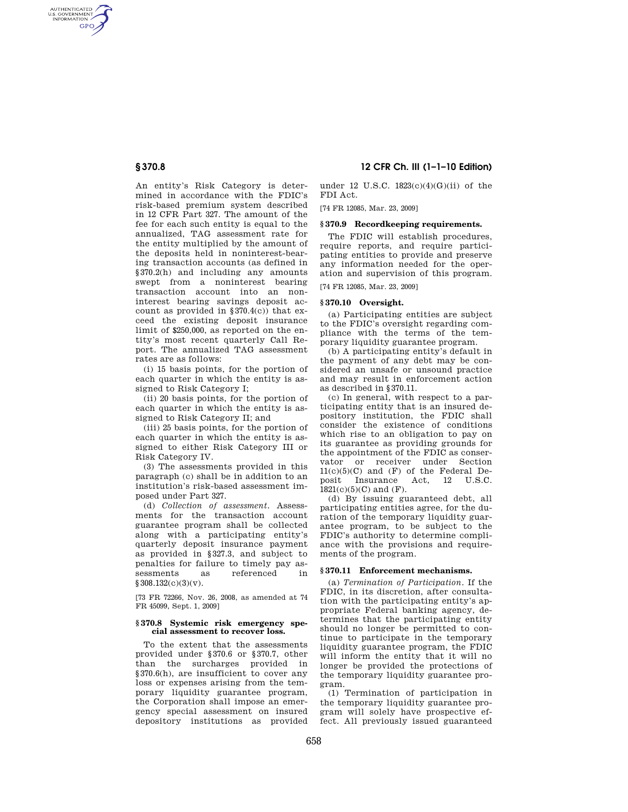AUTHENTICATED<br>U.S. GOVERNMENT<br>INFORMATION **GPO** 

> An entity's Risk Category is determined in accordance with the FDIC's risk-based premium system described in 12 CFR Part 327. The amount of the fee for each such entity is equal to the annualized, TAG assessment rate for the entity multiplied by the amount of the deposits held in noninterest-bearing transaction accounts (as defined in §370.2(h) and including any amounts swept from a noninterest bearing transaction account into an noninterest bearing savings deposit account as provided in §370.4(c)) that exceed the existing deposit insurance limit of \$250,000, as reported on the entity's most recent quarterly Call Report. The annualized TAG assessment rates are as follows:

(i) 15 basis points, for the portion of each quarter in which the entity is assigned to Risk Category I;

(ii) 20 basis points, for the portion of each quarter in which the entity is assigned to Risk Category II; and

(iii) 25 basis points, for the portion of each quarter in which the entity is assigned to either Risk Category III or Risk Category IV.

(3) The assessments provided in this paragraph (c) shall be in addition to an institution's risk-based assessment imposed under Part 327.

(d) *Collection of assessment*. Assessments for the transaction account guarantee program shall be collected along with a participating entity's quarterly deposit insurance payment as provided in §327.3, and subject to penalties for failure to timely pay assessments as referenced in  $§ 308.132(c)(3)(v).$ 

[73 FR 72266, Nov. 26, 2008, as amended at 74 FR 45099, Sept. 1, 2009]

## **§ 370.8 Systemic risk emergency special assessment to recover loss.**

To the extent that the assessments provided under §370.6 or §370.7, other than the surcharges provided in §370.6(h), are insufficient to cover any loss or expenses arising from the temporary liquidity guarantee program, the Corporation shall impose an emergency special assessment on insured depository institutions as provided

# **§ 370.8 12 CFR Ch. III (1–1–10 Edition)**

under 12 U.S.C. 1823(c)(4)(G)(ii) of the FDI Act.

[74 FR 12085, Mar. 23, 2009]

## **§ 370.9 Recordkeeping requirements.**

The FDIC will establish procedures, require reports, and require participating entities to provide and preserve any information needed for the operation and supervision of this program. [74 FR 12085, Mar. 23, 2009]

## **§ 370.10 Oversight.**

(a) Participating entities are subject to the FDIC's oversight regarding compliance with the terms of the temporary liquidity guarantee program.

(b) A participating entity's default in the payment of any debt may be considered an unsafe or unsound practice and may result in enforcement action as described in §370.11.

(c) In general, with respect to a participating entity that is an insured depository institution, the FDIC shall consider the existence of conditions which rise to an obligation to pay on its guarantee as providing grounds for the appointment of the FDIC as conservator or receiver under Section  $11(c)(5)(C)$  and  $(F)$  of the Federal Deposit Insurance Act, 12 U.S.C. Insurance Act, 12 U.S.C.  $1821(c)(5)(C)$  and  $(F)$ .

(d) By issuing guaranteed debt, all participating entities agree, for the duration of the temporary liquidity guarantee program, to be subject to the FDIC's authority to determine compliance with the provisions and requirements of the program.

## **§ 370.11 Enforcement mechanisms.**

(a) *Termination of Participation*. If the FDIC, in its discretion, after consultation with the participating entity's appropriate Federal banking agency, determines that the participating entity should no longer be permitted to continue to participate in the temporary liquidity guarantee program, the FDIC will inform the entity that it will no longer be provided the protections of the temporary liquidity guarantee program.

(1) Termination of participation in the temporary liquidity guarantee program will solely have prospective effect. All previously issued guaranteed